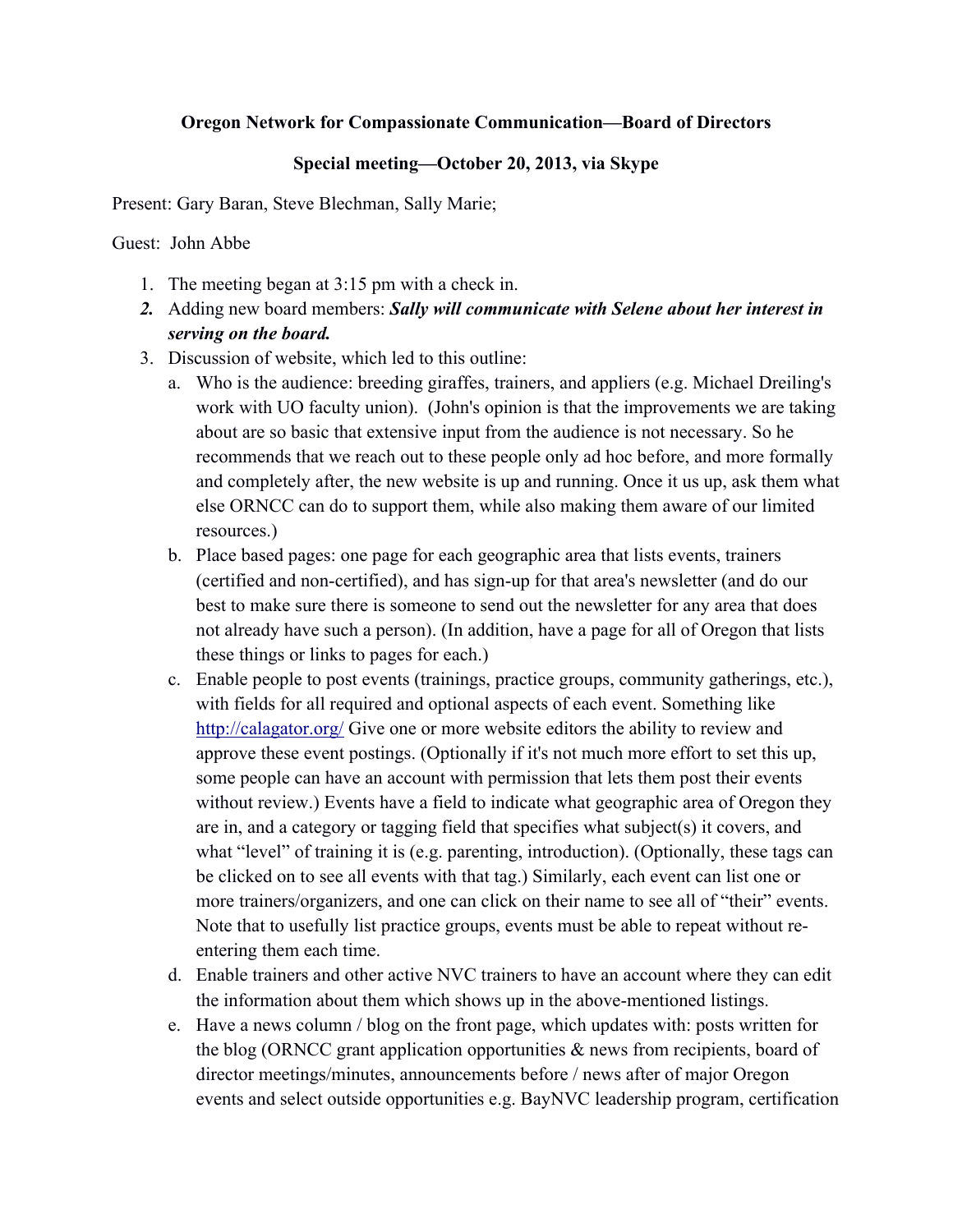## **Oregon Network for Compassionate Communication—Board of Directors**

## **Special meeting—October 20, 2013, via Skype**

Present: Gary Baran, Steve Blechman, Sally Marie;

Guest: John Abbe

- 1. The meeting began at 3:15 pm with a check in.
- *2.* Adding new board members: *Sally will communicate with Selene about her interest in serving on the board.*
- 3. Discussion of website, which led to this outline:
	- a. Who is the audience: breeding giraffes, trainers, and appliers (e.g. Michael Dreiling's work with UO faculty union). (John's opinion is that the improvements we are taking about are so basic that extensive input from the audience is not necessary. So he recommends that we reach out to these people only ad hoc before, and more formally and completely after, the new website is up and running. Once it us up, ask them what else ORNCC can do to support them, while also making them aware of our limited resources.)
	- b. Place based pages: one page for each geographic area that lists events, trainers (certified and non-certified), and has sign-up for that area's newsletter (and do our best to make sure there is someone to send out the newsletter for any area that does not already have such a person). (In addition, have a page for all of Oregon that lists these things or links to pages for each.)
	- c. Enable people to post events (trainings, practice groups, community gatherings, etc.), with fields for all required and optional aspects of each event. Something like http://calagator.org/ Give one or more website editors the ability to review and approve these event postings. (Optionally if it's not much more effort to set this up, some people can have an account with permission that lets them post their events without review.) Events have a field to indicate what geographic area of Oregon they are in, and a category or tagging field that specifies what subject(s) it covers, and what "level" of training it is (e.g. parenting, introduction). (Optionally, these tags can be clicked on to see all events with that tag.) Similarly, each event can list one or more trainers/organizers, and one can click on their name to see all of "their" events. Note that to usefully list practice groups, events must be able to repeat without reentering them each time.
	- d. Enable trainers and other active NVC trainers to have an account where they can edit the information about them which shows up in the above-mentioned listings.
	- e. Have a news column / blog on the front page, which updates with: posts written for the blog (ORNCC grant application opportunities  $\&$  news from recipients, board of director meetings/minutes, announcements before / news after of major Oregon events and select outside opportunities e.g. BayNVC leadership program, certification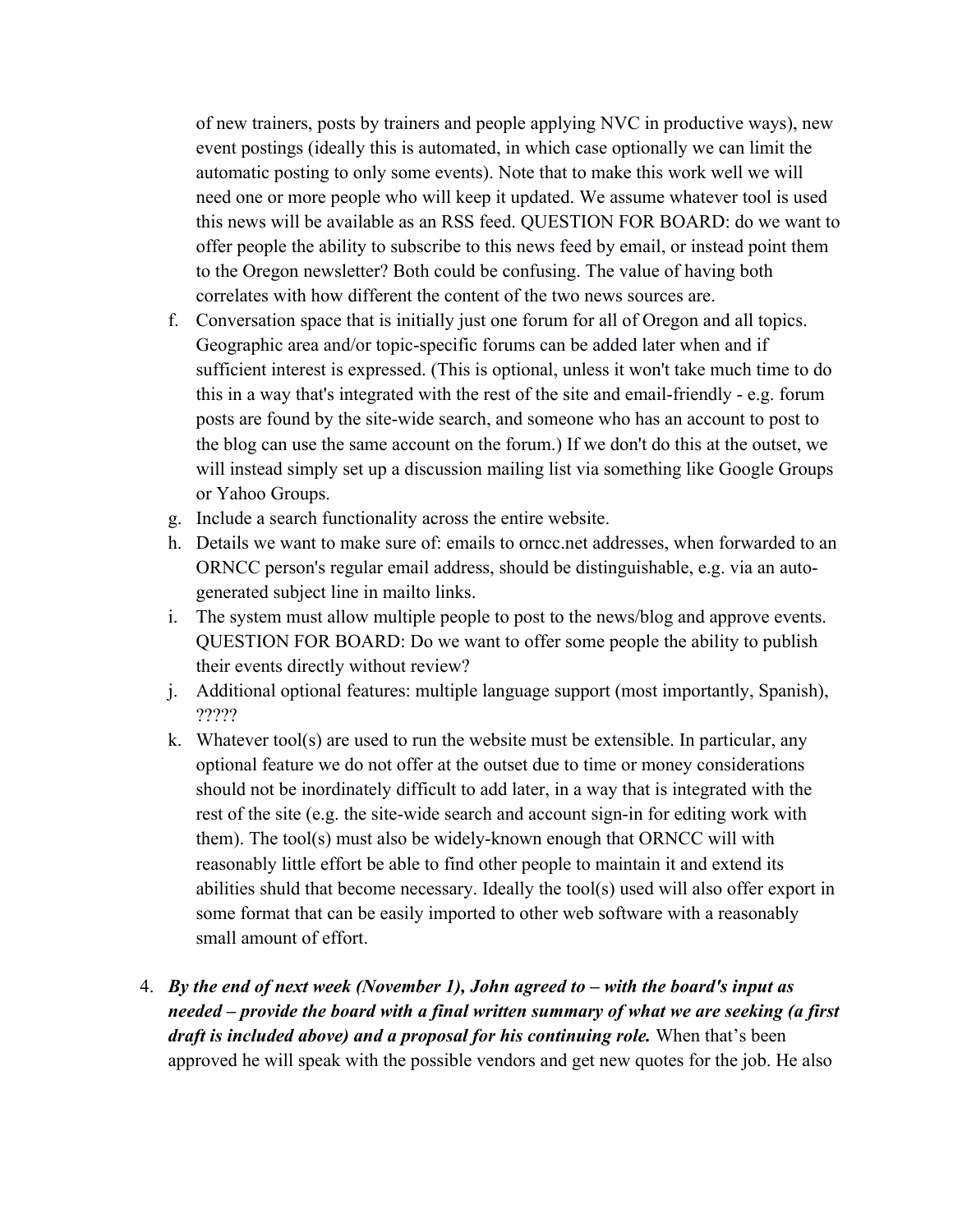of new trainers, posts by trainers and people applying NVC in productive ways), new event postings (ideally this is automated, in which case optionally we can limit the automatic posting to only some events). Note that to make this work well we will need one or more people who will keep it updated. We assume whatever tool is used this news will be available as an RSS feed. QUESTION FOR BOARD: do we want to offer people the ability to subscribe to this news feed by email, or instead point them to the Oregon newsletter? Both could be confusing. The value of having both correlates with how different the content of the two news sources are.

- f. Conversation space that is initially just one forum for all of Oregon and all topics. Geographic area and/or topic-specific forums can be added later when and if sufficient interest is expressed. (This is optional, unless it won't take much time to do this in a way that's integrated with the rest of the site and email-friendly - e.g. forum posts are found by the site-wide search, and someone who has an account to post to the blog can use the same account on the forum.) If we don't do this at the outset, we will instead simply set up a discussion mailing list via something like Google Groups or Yahoo Groups.
- g. Include a search functionality across the entire website.
- h. Details we want to make sure of: emails to orncc.net addresses, when forwarded to an ORNCC person's regular email address, should be distinguishable, e.g. via an autogenerated subject line in mailto links.
- i. The system must allow multiple people to post to the news/blog and approve events. QUESTION FOR BOARD: Do we want to offer some people the ability to publish their events directly without review?
- j. Additional optional features: multiple language support (most importantly, Spanish), ?????
- k. Whatever tool(s) are used to run the website must be extensible. In particular, any optional feature we do not offer at the outset due to time or money considerations should not be inordinately difficult to add later, in a way that is integrated with the rest of the site (e.g. the site-wide search and account sign-in for editing work with them). The tool(s) must also be widely-known enough that ORNCC will with reasonably little effort be able to find other people to maintain it and extend its abilities shuld that become necessary. Ideally the tool(s) used will also offer export in some format that can be easily imported to other web software with a reasonably small amount of effort.
- 4. *By the end of next week (November 1), John agreed to – with the board's input as needed – provide the board with a final written summary of what we are seeking (a first draft is included above) and a proposal for his continuing role.* When that's been approved he will speak with the possible vendors and get new quotes for the job. He also